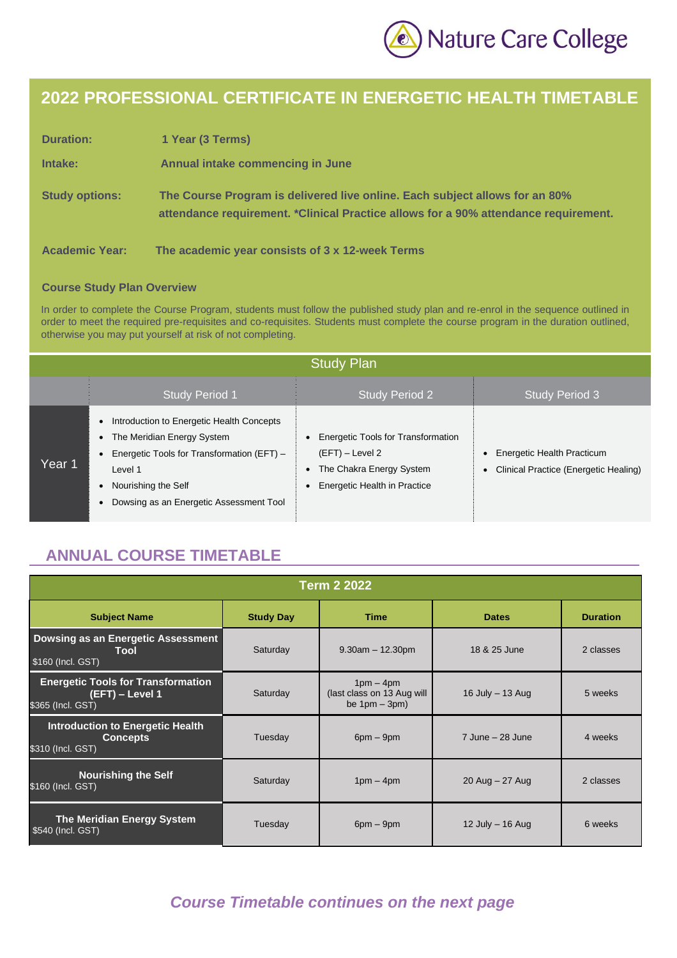

# **2022 PROFESSIONAL CERTIFICATE IN ENERGETIC HEALTH TIMETABLE**

| <b>Duration:</b>      | 1 Year (3 Terms)                                                                                                                                                   |
|-----------------------|--------------------------------------------------------------------------------------------------------------------------------------------------------------------|
| Intake:               | Annual intake commencing in June                                                                                                                                   |
| <b>Study options:</b> | The Course Program is delivered live online. Each subject allows for an 80%<br>attendance requirement. *Clinical Practice allows for a 90% attendance requirement. |
| <b>Academic Year:</b> | The academic year consists of 3 x 12-week Terms                                                                                                                    |

#### **Course Study Plan Overview**

In order to complete the Course Program, students must follow the published study plan and re-enrol in the sequence outlined in order to meet the required pre-requisites and co-requisites. Students must complete the course program in the duration outlined, otherwise you may put yourself at risk of not completing.

|        | <b>Study Plan</b>                                                                                                                                                                                    |                                                                                                                                  |                                                                     |  |  |
|--------|------------------------------------------------------------------------------------------------------------------------------------------------------------------------------------------------------|----------------------------------------------------------------------------------------------------------------------------------|---------------------------------------------------------------------|--|--|
|        | <b>Study Period 1</b>                                                                                                                                                                                | <b>Study Period 2</b>                                                                                                            | <b>Study Period 3</b>                                               |  |  |
| Year 1 | Introduction to Energetic Health Concepts<br>• The Meridian Energy System<br>Energetic Tools for Transformation (EFT) -<br>Level 1<br>Nourishing the Self<br>Dowsing as an Energetic Assessment Tool | Energetic Tools for Transformation<br>$(EFT)$ – Level 2<br>The Chakra Energy System<br>$\bullet$<br>Energetic Health in Practice | Energetic Health Practicum<br>Clinical Practice (Energetic Healing) |  |  |

## **ANNUAL COURSE TIMETABLE**

| <b>Term 2 2022</b>                                                                |                  |                                                               |                      |                 |
|-----------------------------------------------------------------------------------|------------------|---------------------------------------------------------------|----------------------|-----------------|
| <b>Subject Name</b>                                                               | <b>Study Day</b> | <b>Time</b>                                                   | <b>Dates</b>         | <b>Duration</b> |
| Dowsing as an Energetic Assessment<br><b>Tool</b><br>\$160 (Incl. GST)            | Saturday         | $9.30am - 12.30pm$                                            | 18 & 25 June         | 2 classes       |
| <b>Energetic Tools for Transformation</b><br>(EFT) – Level 1<br>\$365 (Incl. GST) | Saturday         | $1pm - 4pm$<br>(last class on 13 Aug will<br>be $1pm - 3pm$ ) | 16 July $-$ 13 Aug   | 5 weeks         |
| <b>Introduction to Energetic Health</b><br><b>Concepts</b><br>\$310 (Incl. GST)   | Tuesday          | $6pm - 9pm$                                                   | $7$ June $-$ 28 June | 4 weeks         |
| <b>Nourishing the Self</b><br>\$160 (Incl. GST)                                   | Saturday         | $1pm - 4pm$                                                   | $20$ Aug $-27$ Aug   | 2 classes       |
| <b>The Meridian Energy System</b><br>\$540 (Incl. GST)                            | Tuesday          | $6pm - 9pm$                                                   | 12 July $-$ 16 Aug   | 6 weeks         |

#### *Course Timetable continues on the next page*